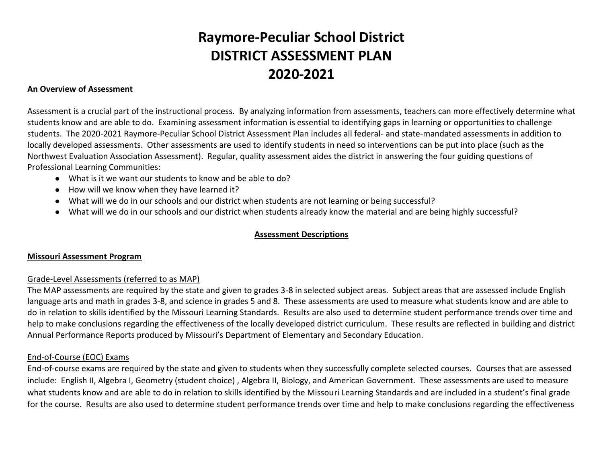# **Raymore-Peculiar School District DISTRICT ASSESSMENT PLAN 2020-2021**

#### **An Overview of Assessment**

Assessment is a crucial part of the instructional process. By analyzing information from assessments, teachers can more effectively determine what students know and are able to do. Examining assessment information is essential to identifying gaps in learning or opportunities to challenge students. The 2020-2021 Raymore-Peculiar School District Assessment Plan includes all federal- and state-mandated assessments in addition to locally developed assessments. Other assessments are used to identify students in need so interventions can be put into place (such as the Northwest Evaluation Association Assessment). Regular, quality assessment aides the district in answering the four guiding questions of Professional Learning Communities:

- What is it we want our students to know and be able to do?
- How will we know when they have learned it?
- What will we do in our schools and our district when students are not learning or being successful?
- What will we do in our schools and our district when students already know the material and are being highly successful?

## **Assessment Descriptions**

#### **Missouri Assessment Program**

#### Grade-Level Assessments (referred to as MAP)

The MAP assessments are required by the state and given to grades 3-8 in selected subject areas. Subject areas that are assessed include English language arts and math in grades 3-8, and science in grades 5 and 8. These assessments are used to measure what students know and are able to do in relation to skills identified by the Missouri Learning Standards. Results are also used to determine student performance trends over time and help to make conclusions regarding the effectiveness of the locally developed district curriculum. These results are reflected in building and district Annual Performance Reports produced by Missouri's Department of Elementary and Secondary Education.

#### End-of-Course (EOC) Exams

End-of-course exams are required by the state and given to students when they successfully complete selected courses. Courses that are assessed include: English II, Algebra I, Geometry (student choice) , Algebra II, Biology, and American Government. These assessments are used to measure what students know and are able to do in relation to skills identified by the Missouri Learning Standards and are included in a student's final grade for the course. Results are also used to determine student performance trends over time and help to make conclusions regarding the effectiveness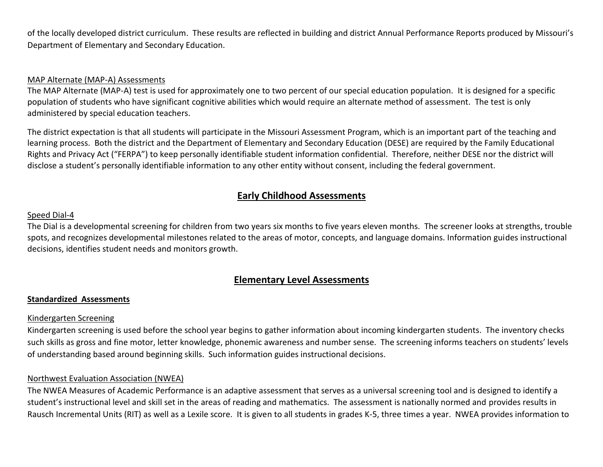of the locally developed district curriculum. These results are reflected in building and district Annual Performance Reports produced by Missouri's Department of Elementary and Secondary Education.

#### MAP Alternate (MAP-A) Assessments

The MAP Alternate (MAP-A) test is used for approximately one to two percent of our special education population. It is designed for a specific population of students who have significant cognitive abilities which would require an alternate method of assessment. The test is only administered by special education teachers.

The district expectation is that all students will participate in the Missouri Assessment Program, which is an important part of the teaching and learning process. Both the district and the Department of Elementary and Secondary Education (DESE) are required by the Family Educational Rights and Privacy Act ("FERPA") to keep personally identifiable student information confidential. Therefore, neither DESE nor the district will disclose a student's personally identifiable information to any other entity without consent, including the federal government.

# **Early Childhood Assessments**

#### Speed Dial-4

The Dial is a developmental screening for children from two years six months to five years eleven months. The screener looks at strengths, trouble spots, and recognizes developmental milestones related to the areas of motor, concepts, and language domains. Information guides instructional decisions, identifies student needs and monitors growth.

## **Elementary Level Assessments**

#### **Standardized Assessments**

#### Kindergarten Screening

Kindergarten screening is used before the school year begins to gather information about incoming kindergarten students. The inventory checks such skills as gross and fine motor, letter knowledge, phonemic awareness and number sense. The screening informs teachers on students' levels of understanding based around beginning skills. Such information guides instructional decisions.

#### Northwest Evaluation Association (NWEA)

The NWEA Measures of Academic Performance is an adaptive assessment that serves as a universal screening tool and is designed to identify a student's instructional level and skill set in the areas of reading and mathematics. The assessment is nationally normed and provides results in Rausch Incremental Units (RIT) as well as a Lexile score. It is given to all students in grades K-5, three times a year. NWEA provides information to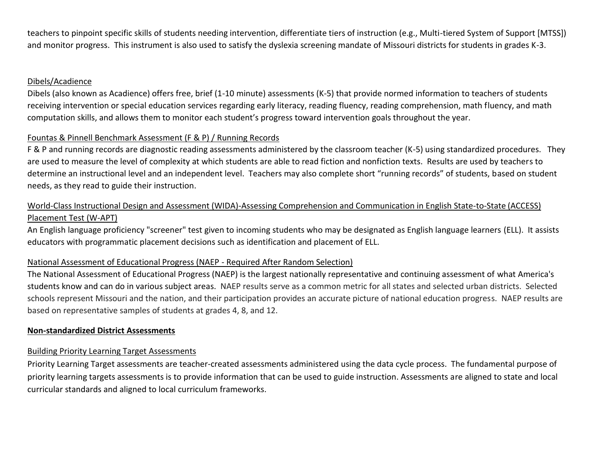teachers to pinpoint specific skills of students needing intervention, differentiate tiers of instruction (e.g., Multi-tiered System of Support [MTSS]) and monitor progress. This instrument is also used to satisfy the dyslexia screening mandate of Missouri districts for students in grades K-3.

#### Dibels/Acadience

Dibels (also known as Acadience) offers free, brief (1-10 minute) assessments (K-5) that provide normed information to teachers of students receiving intervention or special education services regarding early literacy, reading fluency, reading comprehension, math fluency, and math computation skills, and allows them to monitor each student's progress toward intervention goals throughout the year.

## Fountas & Pinnell Benchmark Assessment (F & P) / Running Records

F & P and running records are diagnostic reading assessments administered by the classroom teacher (K-5) using standardized procedures. They are used to measure the level of complexity at which students are able to read fiction and nonfiction texts. Results are used by teachers to determine an instructional level and an independent level. Teachers may also complete short "running records" of students, based on student needs, as they read to guide their instruction.

# World-Class Instructional Design and Assessment (WIDA)-Assessing Comprehension and Communication in English State-to-State (ACCESS) Placement Test (W-APT)

An English language proficiency "screener" test given to incoming students who may be designated as English language learners (ELL). It assists educators with programmatic placement decisions such as identification and placement of ELL.

## National Assessment of Educational Progress (NAEP - Required After Random Selection)

The National Assessment of Educational Progress (NAEP) is the largest nationally representative and continuing assessment of what America's students know and can do in various subject areas. NAEP results serve as a common metric for all states and selected urban districts. Selected schools represent Missouri and the nation, and their participation provides an accurate picture of national education progress. NAEP results are based on representative samples of students at grades 4, 8, and 12.

## **Non-standardized District Assessments**

## Building Priority Learning Target Assessments

Priority Learning Target assessments are teacher-created assessments administered using the data cycle process. The fundamental purpose of priority learning targets assessments is to provide information that can be used to guide instruction. Assessments are aligned to state and local curricular standards and aligned to local curriculum frameworks.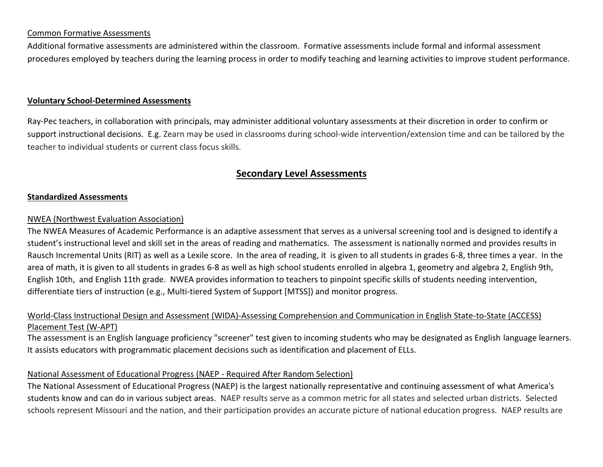#### Common Formative Assessments

Additional formative assessments are administered within the classroom. Formative assessments include formal and informal assessment procedures employed by teachers during the learning process in order to modify teaching and learning activities to improve student performance.

#### **Voluntary School-Determined Assessments**

Ray-Pec teachers, in collaboration with principals, may administer additional voluntary assessments at their discretion in order to confirm or support instructional decisions. E.g. Zearn may be used in classrooms during school-wide intervention/extension time and can be tailored by the teacher to individual students or current class focus skills.

# **Secondary Level Assessments**

#### **Standardized Assessments**

#### NWEA (Northwest Evaluation Association)

The NWEA Measures of Academic Performance is an adaptive assessment that serves as a universal screening tool and is designed to identify a student's instructional level and skill set in the areas of reading and mathematics. The assessment is nationally normed and provides results in Rausch Incremental Units (RIT) as well as a Lexile score. In the area of reading, it is given to all students in grades 6-8, three times a year. In the area of math, it is given to all students in grades 6-8 as well as high school students enrolled in algebra 1, geometry and algebra 2, English 9th, English 10th, and English 11th grade. NWEA provides information to teachers to pinpoint specific skills of students needing intervention, differentiate tiers of instruction (e.g., Multi-tiered System of Support [MTSS]) and monitor progress.

## World-Class Instructional Design and Assessment (WIDA)-Assessing Comprehension and Communication in English State-to-State (ACCESS) Placement Test (W-APT)

The assessment is an English language proficiency "screener" test given to incoming students who may be designated as English language learners. It assists educators with programmatic placement decisions such as identification and placement of ELLs.

#### National Assessment of Educational Progress (NAEP - Required After Random Selection)

The National Assessment of Educational Progress (NAEP) is the largest nationally representative and continuing assessment of what America's students know and can do in various subject areas. NAEP results serve as a common metric for all states and selected urban districts. Selected schools represent Missouri and the nation, and their participation provides an accurate picture of national education progress. NAEP results are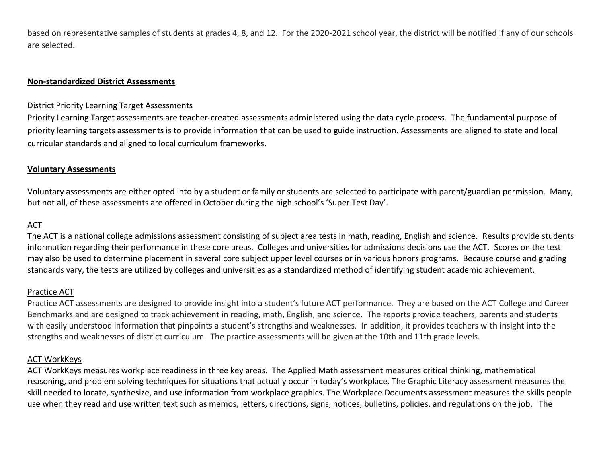based on representative samples of students at grades 4, 8, and 12. For the 2020-2021 school year, the district will be notified if any of our schools are selected.

#### **Non-standardized District Assessments**

#### District Priority Learning Target Assessments

Priority Learning Target assessments are teacher-created assessments administered using the data cycle process. The fundamental purpose of priority learning targets assessments is to provide information that can be used to guide instruction. Assessments are aligned to state and local curricular standards and aligned to local curriculum frameworks.

#### **Voluntary Assessments**

Voluntary assessments are either opted into by a student or family or students are selected to participate with parent/guardian permission. Many, but not all, of these assessments are offered in October during the high school's 'Super Test Day'.

## ACT

The ACT is a national college admissions assessment consisting of subject area tests in math, reading, English and science. Results provide students information regarding their performance in these core areas. Colleges and universities for admissions decisions use the ACT. Scores on the test may also be used to determine placement in several core subject upper level courses or in various honors programs. Because course and grading standards vary, the tests are utilized by colleges and universities as a standardized method of identifying student academic achievement.

#### Practice ACT

Practice ACT assessments are designed to provide insight into a student's future ACT performance. They are based on the ACT College and Career Benchmarks and are designed to track achievement in reading, math, English, and science. The reports provide teachers, parents and students with easily understood information that pinpoints a student's strengths and weaknesses. In addition, it provides teachers with insight into the strengths and weaknesses of district curriculum. The practice assessments will be given at the 10th and 11th grade levels.

#### ACT WorkKeys

ACT WorkKeys measures workplace readiness in three key areas. The Applied Math assessment measures critical thinking, mathematical reasoning, and problem solving techniques for situations that actually occur in today's workplace. The Graphic Literacy assessment measures the skill needed to locate, synthesize, and use information from workplace graphics. The Workplace Documents assessment measures the skills people use when they read and use written text such as memos, letters, directions, signs, notices, bulletins, policies, and regulations on the job. The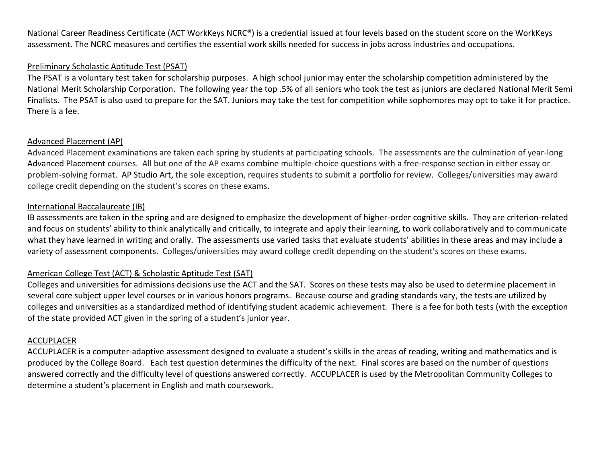National Career Readiness Certificate (ACT WorkKeys NCRC®) is a credential issued at four levels based on the student score on the WorkKeys assessment. The NCRC measures and certifies the essential work skills needed for success in jobs across industries and occupations.

## Preliminary Scholastic Aptitude Test (PSAT)

The PSAT is a voluntary test taken for scholarship purposes. A high school junior may enter the scholarship competition administered by the National Merit Scholarship Corporation. The following year the top .5% of all seniors who took the test as juniors are declared National Merit Semi Finalists. The PSAT is also used to prepare for the SAT. Juniors may take the test for competition while sophomores may opt to take it for practice. There is a fee.

#### Advanced Placement (AP)

Advanced Placement examinations are taken each spring by students at participating schools. The assessments are the culmination of year-long [Advanced Placement c](https://en.wikipedia.org/wiki/Advanced_Placement)ourses. All but one of the AP exams combine multiple-choice questions with a free-response section in either essay or problem-solving format. [AP Studio Art,](https://en.wikipedia.org/wiki/AP_Studio_Art) the sole exception, requires students to submit a [portfolio](https://en.wikipedia.org/wiki/Career_portfolio) for review. Colleges/universities may award college credit depending on the student's scores on these exams.

#### International Baccalaureate (IB)

IB assessments are taken in the spring and are designed to emphasize the development of higher-order cognitive skills. They are criterion-related and focus on students' ability to think analytically and critically, to integrate and apply their learning, to work collaboratively and to communicate what they have learned in writing and orally. The assessments use varied tasks that evaluate students' abilities in these areas and may include a variety of assessment components. Colleges/universities may award college credit depending on the student's scores on these exams.

## American College Test (ACT) & Scholastic Aptitude Test (SAT)

Colleges and universities for admissions decisions use the ACT and the SAT. Scores on these tests may also be used to determine placement in several core subject upper level courses or in various honors programs. Because course and grading standards vary, the tests are utilized by colleges and universities as a standardized method of identifying student academic achievement. There is a fee for both tests (with the exception of the state provided ACT given in the spring of a student's junior year.

#### ACCUPLACER

ACCUPLACER is a computer-adaptive assessment designed to evaluate a student's skills in the areas of reading, writing and mathematics and is produced by the College Board. Each test question determines the difficulty of the next. Final scores are based on the number of questions answered correctly and the difficulty level of questions answered correctly. ACCUPLACER is used by the Metropolitan Community Colleges to determine a student's placement in English and math coursework.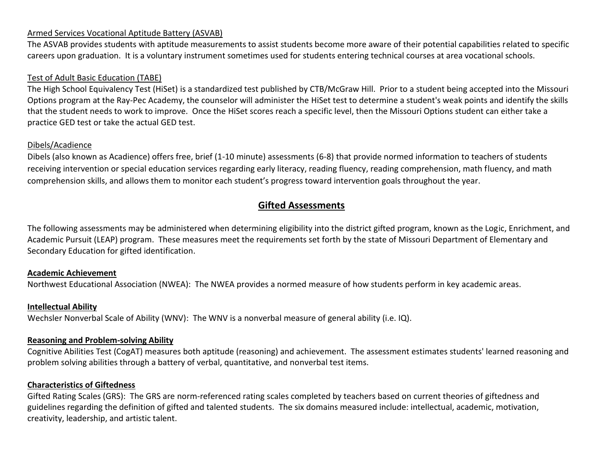#### Armed Services Vocational Aptitude Battery (ASVAB)

The ASVAB provides students with aptitude measurements to assist students become more aware of their potential capabilities related to specific careers upon graduation. It is a voluntary instrument sometimes used for students entering technical courses at area vocational schools.

#### Test of Adult Basic Education (TABE)

The High School Equivalency Test (HiSet) is a standardized test published by CTB/McGraw Hill. Prior to a student being accepted into the Missouri Options program at the Ray-Pec Academy, the counselor will administer the HiSet test to determine a student's weak points and identify the skills that the student needs to work to improve. Once the HiSet scores reach a specific level, then the Missouri Options student can either take a practice GED test or take the actual GED test.

## Dibels/Acadience

Dibels (also known as Acadience) offers free, brief (1-10 minute) assessments (6-8) that provide normed information to teachers of students receiving intervention or special education services regarding early literacy, reading fluency, reading comprehension, math fluency, and math comprehension skills, and allows them to monitor each student's progress toward intervention goals throughout the year.

# **Gifted Assessments**

The following assessments may be administered when determining eligibility into the district gifted program, known as the Logic, Enrichment, and Academic Pursuit (LEAP) program. These measures meet the requirements set forth by the state of Missouri Department of Elementary and Secondary Education for gifted identification.

#### **Academic Achievement**

Northwest Educational Association (NWEA): The NWEA provides a normed measure of how students perform in key academic areas.

#### **Intellectual Ability**

Wechsler Nonverbal Scale of Ability (WNV): The WNV is a nonverbal measure of general ability (i.e. IQ).

#### **Reasoning and Problem-solving Ability**

Cognitive Abilities Test (CogAT) measures both aptitude (reasoning) and achievement. The assessment estimates students' learned reasoning and problem solving abilities through a battery of verbal, quantitative, and nonverbal test items.

## **Characteristics of Giftedness**

Gifted Rating Scales (GRS): The GRS are norm-referenced rating scales completed by teachers based on current theories of giftedness and guidelines regarding the definition of gifted and talented students. The six domains measured include: intellectual, academic, motivation, creativity, leadership, and artistic talent.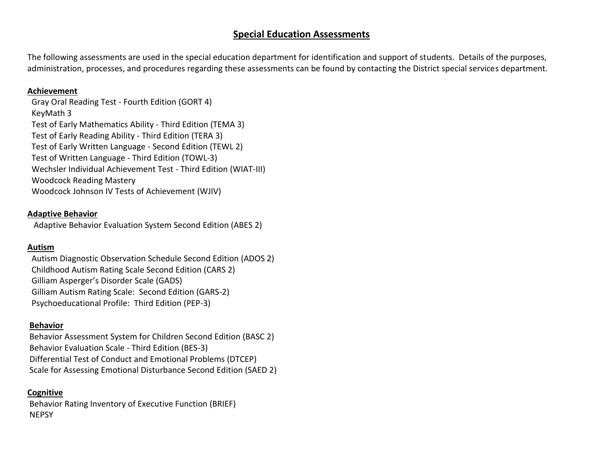## **Special Education Assessments**

The following assessments are used in the special education department for identification and support of students. Details of the purposes, administration, processes, and procedures regarding these assessments can be found by contacting the District special services department.

#### **Achievement**

 Gray Oral Reading Test - Fourth Edition (GORT 4) KeyMath 3 Test of Early Mathematics Ability - Third Edition (TEMA 3) Test of Early Reading Ability - Third Edition (TERA 3) Test of Early Written Language - Second Edition (TEWL 2) Test of Written Language - Third Edition (TOWL-3) Wechsler Individual Achievement Test - Third Edition (WIAT-III) Woodcock Reading Mastery Woodcock Johnson IV Tests of Achievement (WJIV)

#### **Adaptive Behavior**

Adaptive Behavior Evaluation System Second Edition (ABES 2)

#### **Autism**

 Autism Diagnostic Observation Schedule Second Edition (ADOS 2) Childhood Autism Rating Scale Second Edition (CARS 2) Gilliam Asperger's Disorder Scale (GADS) Gilliam Autism Rating Scale: Second Edition (GARS-2) Psychoeducational Profile: Third Edition (PEP-3)

#### **Behavior**

Behavior Assessment System for Children Second Edition (BASC 2) Behavior Evaluation Scale - Third Edition (BES-3) Differential Test of Conduct and Emotional Problems (DTCEP) Scale for Assessing Emotional Disturbance Second Edition (SAED 2)

#### **Cognitive**

Behavior Rating Inventory of Executive Function (BRIEF) NEPSY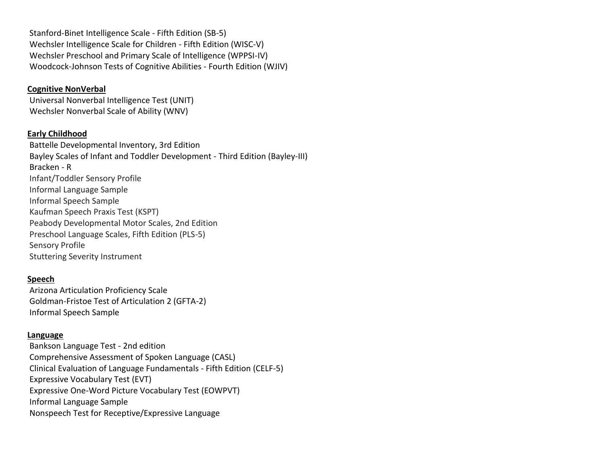Stanford-Binet Intelligence Scale - Fifth Edition (SB-5) Wechsler Intelligence Scale for Children - Fifth Edition (WISC-V) Wechsler Preschool and Primary Scale of Intelligence (WPPSI-IV) Woodcock-Johnson Tests of Cognitive Abilities - Fourth Edition (WJIV)

#### **Cognitive NonVerbal**

Universal Nonverbal Intelligence Test (UNIT) Wechsler Nonverbal Scale of Ability (WNV)

#### **Early Childhood**

Battelle Developmental Inventory, 3rd Edition Bayley Scales of Infant and Toddler Development - Third Edition (Bayley-III) Bracken - R Infant/Toddler Sensory Profile Informal Language Sample Informal Speech Sample Kaufman Speech Praxis Test (KSPT) Peabody Developmental Motor Scales, 2nd Edition Preschool Language Scales, Fifth Edition (PLS-5) Sensory Profile Stuttering Severity Instrument

#### **Speech**

Arizona Articulation Proficiency Scale Goldman-Fristoe Test of Articulation 2 (GFTA-2) Informal Speech Sample

#### **Language**

Bankson Language Test - 2nd edition Comprehensive Assessment of Spoken Language (CASL) Clinical Evaluation of Language Fundamentals - Fifth Edition (CELF-5) Expressive Vocabulary Test (EVT) Expressive One-Word Picture Vocabulary Test (EOWPVT) Informal Language Sample Nonspeech Test for Receptive/Expressive Language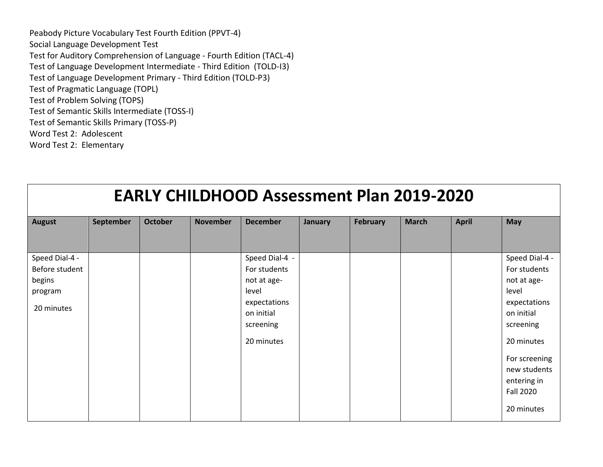Peabody Picture Vocabulary Test Fourth Edition (PPVT-4) Social Language Development Test Test for Auditory Comprehension of Language - Fourth Edition (TACL-4) Test of Language Development Intermediate - Third Edition (TOLD-I3) Test of Language Development Primary - Third Edition (TOLD-P3) Test of Pragmatic Language (TOPL) Test of Problem Solving (TOPS) Test of Semantic Skills Intermediate (TOSS-I) Test of Semantic Skills Primary (TOSS-P) Word Test 2: Adolescent Word Test 2: Elementary

| <b>EARLY CHILDHOOD Assessment Plan 2019-2020</b>                    |                  |                |                 |                                                                                                                 |                |                 |              |              |                                                                                                                                                                                                   |  |  |
|---------------------------------------------------------------------|------------------|----------------|-----------------|-----------------------------------------------------------------------------------------------------------------|----------------|-----------------|--------------|--------------|---------------------------------------------------------------------------------------------------------------------------------------------------------------------------------------------------|--|--|
| <b>August</b>                                                       | <b>September</b> | <b>October</b> | <b>November</b> | <b>December</b>                                                                                                 | <b>January</b> | <b>February</b> | <b>March</b> | <b>April</b> | <b>May</b>                                                                                                                                                                                        |  |  |
| Speed Dial-4 -<br>Before student<br>begins<br>program<br>20 minutes |                  |                |                 | Speed Dial-4 -<br>For students<br>not at age-<br>level<br>expectations<br>on initial<br>screening<br>20 minutes |                |                 |              |              | Speed Dial-4 -<br>For students<br>not at age-<br>level<br>expectations<br>on initial<br>screening<br>20 minutes<br>For screening<br>new students<br>entering in<br><b>Fall 2020</b><br>20 minutes |  |  |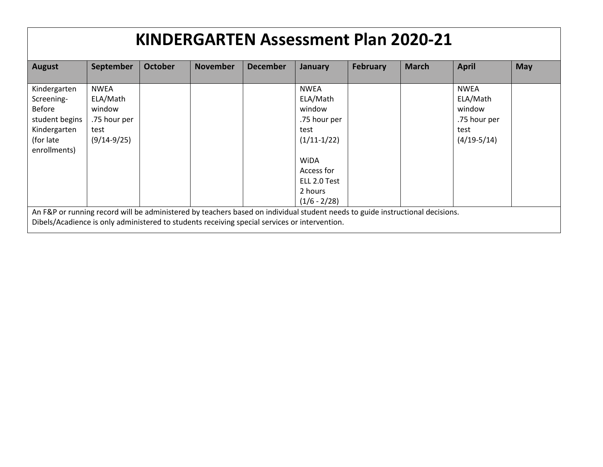| <b>KINDERGARTEN Assessment Plan 2020-21</b>                                                                |                                                                                                                                                                                                                                                  |                |                 |                 |                                                                                                                                    |                 |              |                                                                            |            |  |  |  |
|------------------------------------------------------------------------------------------------------------|--------------------------------------------------------------------------------------------------------------------------------------------------------------------------------------------------------------------------------------------------|----------------|-----------------|-----------------|------------------------------------------------------------------------------------------------------------------------------------|-----------------|--------------|----------------------------------------------------------------------------|------------|--|--|--|
| <b>August</b>                                                                                              | September                                                                                                                                                                                                                                        | <b>October</b> | <b>November</b> | <b>December</b> | January                                                                                                                            | <b>February</b> | <b>March</b> | <b>April</b>                                                               | <b>May</b> |  |  |  |
| Kindergarten<br>Screening-<br><b>Before</b><br>student begins<br>Kindergarten<br>(for late<br>enrollments) | <b>NWEA</b><br>ELA/Math<br>window<br>.75 hour per<br>test<br>$(9/14-9/25)$                                                                                                                                                                       |                |                 |                 | <b>NWEA</b><br>ELA/Math<br>window<br>.75 hour per<br>test<br>$(1/11-1/22)$<br><b>WiDA</b><br>Access for<br>ELL 2.0 Test<br>2 hours |                 |              | <b>NWEA</b><br>ELA/Math<br>window<br>.75 hour per<br>test<br>$(4/19-5/14)$ |            |  |  |  |
|                                                                                                            | $(1/6 - 2/28)$<br>An F&P or running record will be administered by teachers based on individual student needs to guide instructional decisions.<br>Dibels/Acadience is only administered to students receiving special services or intervention. |                |                 |                 |                                                                                                                                    |                 |              |                                                                            |            |  |  |  |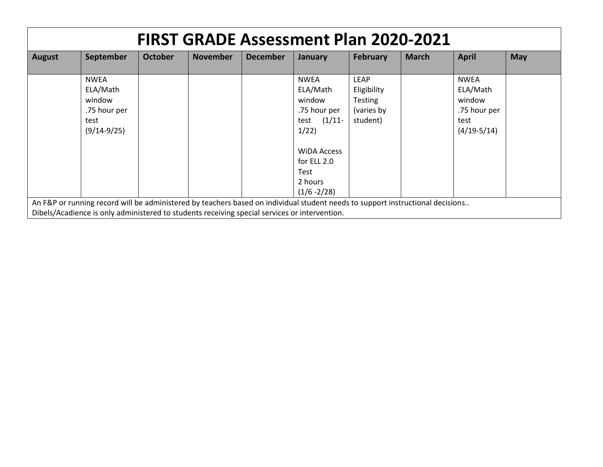| September<br><b>October</b><br><b>November</b><br><b>August</b><br><b>December</b><br><b>February</b><br>May<br><b>March</b><br><b>April</b><br>January<br><b>LEAP</b><br><b>NWEA</b><br><b>NWEA</b><br><b>NWEA</b><br>ELA/Math<br>ELA/Math<br>ELA/Math<br>Eligibility<br>window<br>window<br><b>Testing</b><br>window | <b>FIRST GRADE Assessment Plan 2020-2021</b> |              |  |  |  |              |            |  |              |  |  |  |
|------------------------------------------------------------------------------------------------------------------------------------------------------------------------------------------------------------------------------------------------------------------------------------------------------------------------|----------------------------------------------|--------------|--|--|--|--------------|------------|--|--------------|--|--|--|
|                                                                                                                                                                                                                                                                                                                        |                                              |              |  |  |  |              |            |  |              |  |  |  |
| student)<br>test $(1/11 -$<br>test<br>test<br>$(9/14-9/25)$<br>$(4/19-5/14)$<br>1/22)<br><b>WIDA Access</b><br>for ELL 2.0<br>Test<br>2 hours<br>$(1/6 - 2/28)$                                                                                                                                                        |                                              | .75 hour per |  |  |  | .75 hour per | (varies by |  | .75 hour per |  |  |  |
| An F&P or running record will be administered by teachers based on individual student needs to support instructional decisions<br>Dibels/Acadience is only administered to students receiving special services or intervention.                                                                                        |                                              |              |  |  |  |              |            |  |              |  |  |  |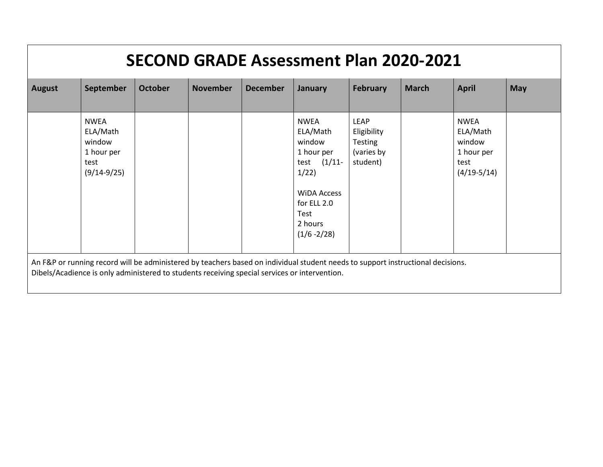| <b>SECOND GRADE Assessment Plan 2020-2021</b> |                                                                                                                                                                                                                                  |                |                 |                 |                                                                                                                                                             |                                                                        |              |                                                                          |            |  |  |
|-----------------------------------------------|----------------------------------------------------------------------------------------------------------------------------------------------------------------------------------------------------------------------------------|----------------|-----------------|-----------------|-------------------------------------------------------------------------------------------------------------------------------------------------------------|------------------------------------------------------------------------|--------------|--------------------------------------------------------------------------|------------|--|--|
| <b>August</b>                                 | <b>September</b>                                                                                                                                                                                                                 | <b>October</b> | <b>November</b> | <b>December</b> | January                                                                                                                                                     | <b>February</b>                                                        | <b>March</b> | <b>April</b>                                                             | <b>May</b> |  |  |
|                                               | <b>NWEA</b><br>ELA/Math<br>window<br>1 hour per<br>test<br>$(9/14-9/25)$                                                                                                                                                         |                |                 |                 | <b>NWFA</b><br>ELA/Math<br>window<br>1 hour per<br>test $(1/11 -$<br>1/22)<br><b>WIDA Access</b><br>for ELL 2.0<br><b>Test</b><br>2 hours<br>$(1/6 - 2/28)$ | <b>LEAP</b><br>Eligibility<br><b>Testing</b><br>(varies by<br>student) |              | <b>NWEA</b><br>ELA/Math<br>window<br>1 hour per<br>test<br>$(4/19-5/14)$ |            |  |  |
|                                               | An F&P or running record will be administered by teachers based on individual student needs to support instructional decisions.<br>Dibels/Acadience is only administered to students receiving special services or intervention. |                |                 |                 |                                                                                                                                                             |                                                                        |              |                                                                          |            |  |  |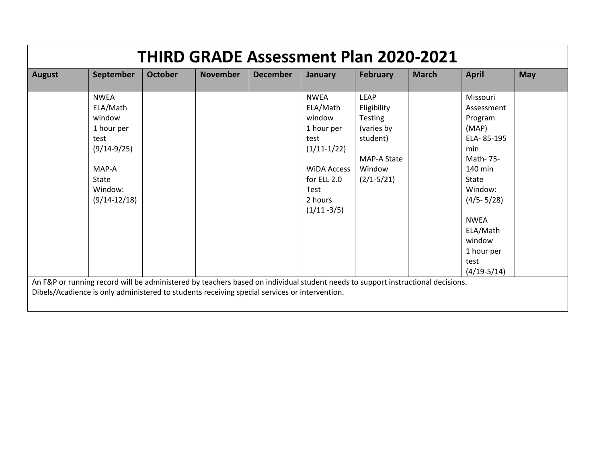| <b>August</b> | September      | <b>October</b> | <b>November</b> | <b>December</b> | <b>January</b>     | <b>February</b>    | <b>March</b> | <b>April</b>   | <b>May</b> |
|---------------|----------------|----------------|-----------------|-----------------|--------------------|--------------------|--------------|----------------|------------|
|               | <b>NWEA</b>    |                |                 |                 | <b>NWEA</b>        | <b>LEAP</b>        |              | Missouri       |            |
|               | ELA/Math       |                |                 |                 | ELA/Math           | Eligibility        |              | Assessment     |            |
|               | window         |                |                 |                 | window             | <b>Testing</b>     |              | Program        |            |
|               | 1 hour per     |                |                 |                 | 1 hour per         | (varies by         |              | (MAP)          |            |
|               | test           |                |                 |                 | test               | student)           |              | ELA-85-195     |            |
|               | $(9/14-9/25)$  |                |                 |                 | $(1/11-1/22)$      |                    |              | min            |            |
|               |                |                |                 |                 |                    | <b>MAP-A State</b> |              | Math-75-       |            |
|               | MAP-A          |                |                 |                 | <b>WIDA Access</b> | Window             |              | 140 min        |            |
|               | State          |                |                 |                 | for ELL 2.0        | $(2/1 - 5/21)$     |              | State          |            |
|               | Window:        |                |                 |                 | Test               |                    |              | Window:        |            |
|               | $(9/14-12/18)$ |                |                 |                 | 2 hours            |                    |              | $(4/5 - 5/28)$ |            |
|               |                |                |                 |                 | $(1/11 - 3/5)$     |                    |              |                |            |
|               |                |                |                 |                 |                    |                    |              | <b>NWEA</b>    |            |
|               |                |                |                 |                 |                    |                    |              | ELA/Math       |            |
|               |                |                |                 |                 |                    |                    |              | window         |            |
|               |                |                |                 |                 |                    |                    |              | 1 hour per     |            |
|               |                |                |                 |                 |                    |                    |              | test           |            |
|               |                |                |                 |                 |                    |                    |              | $(4/19-5/14)$  |            |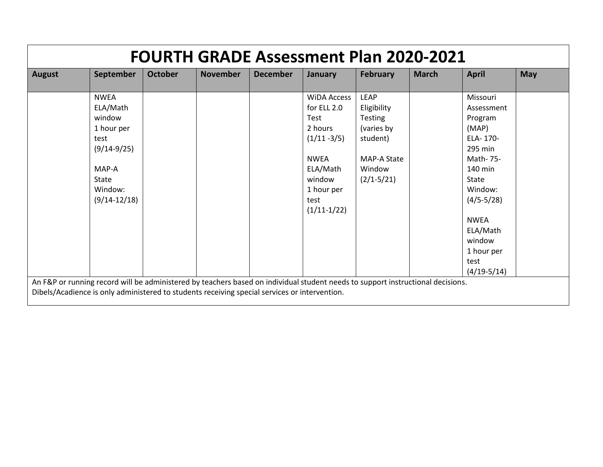| <b>August</b> | September        | <b>October</b> | <b>November</b> | <b>December</b> | January            | <b>February</b> | <b>March</b> | <b>April</b>  | <b>May</b> |
|---------------|------------------|----------------|-----------------|-----------------|--------------------|-----------------|--------------|---------------|------------|
|               | <b>NWEA</b>      |                |                 |                 | <b>WIDA Access</b> | <b>LEAP</b>     |              | Missouri      |            |
|               | ELA/Math         |                |                 |                 | for ELL 2.0        | Eligibility     |              | Assessment    |            |
|               | window           |                |                 |                 | Test               | <b>Testing</b>  |              | Program       |            |
|               | 1 hour per       |                |                 |                 | 2 hours            | (varies by      |              | (MAP)         |            |
|               | test             |                |                 |                 | $(1/11 - 3/5)$     | student)        |              | ELA-170-      |            |
|               | $(9/14-9/25)$    |                |                 |                 |                    |                 |              | 295 min       |            |
|               |                  |                |                 |                 | <b>NWEA</b>        | MAP-A State     |              | Math-75-      |            |
|               | MAP-A            |                |                 |                 | ELA/Math           | Window          |              | 140 min       |            |
|               | State            |                |                 |                 | window             | $(2/1 - 5/21)$  |              | State         |            |
|               | Window:          |                |                 |                 | 1 hour per         |                 |              | Window:       |            |
|               | $(9/14 - 12/18)$ |                |                 |                 | test               |                 |              | $(4/5-5/28)$  |            |
|               |                  |                |                 |                 | $(1/11-1/22)$      |                 |              |               |            |
|               |                  |                |                 |                 |                    |                 |              | <b>NWEA</b>   |            |
|               |                  |                |                 |                 |                    |                 |              | ELA/Math      |            |
|               |                  |                |                 |                 |                    |                 |              | window        |            |
|               |                  |                |                 |                 |                    |                 |              | 1 hour per    |            |
|               |                  |                |                 |                 |                    |                 |              | test          |            |
|               |                  |                |                 |                 |                    |                 |              | $(4/19-5/14)$ |            |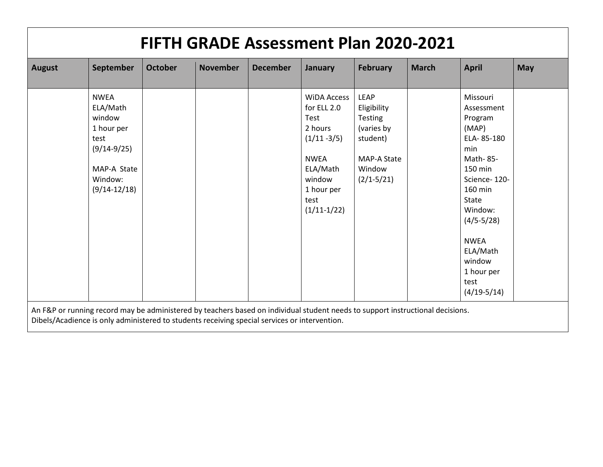| <b>FIFTH GRADE Assessment Plan 2020-2021</b> |                                                                                                                                                                                                                                 |                |                 |                 |                                                                                                                                                    |                                                                                                            |              |                                                                                                                                                                                                                                            |     |  |  |  |
|----------------------------------------------|---------------------------------------------------------------------------------------------------------------------------------------------------------------------------------------------------------------------------------|----------------|-----------------|-----------------|----------------------------------------------------------------------------------------------------------------------------------------------------|------------------------------------------------------------------------------------------------------------|--------------|--------------------------------------------------------------------------------------------------------------------------------------------------------------------------------------------------------------------------------------------|-----|--|--|--|
| August                                       | September                                                                                                                                                                                                                       | <b>October</b> | <b>November</b> | <b>December</b> | January                                                                                                                                            | <b>February</b>                                                                                            | <b>March</b> | <b>April</b>                                                                                                                                                                                                                               | May |  |  |  |
|                                              | <b>NWEA</b><br>ELA/Math<br>window<br>1 hour per<br>test<br>$(9/14-9/25)$<br>MAP-A State<br>Window:<br>$(9/14-12/18)$                                                                                                            |                |                 |                 | <b>WIDA Access</b><br>for ELL 2.0<br>Test<br>2 hours<br>$(1/11 - 3/5)$<br><b>NWEA</b><br>ELA/Math<br>window<br>1 hour per<br>test<br>$(1/11-1/22)$ | LEAP<br>Eligibility<br><b>Testing</b><br>(varies by<br>student)<br>MAP-A State<br>Window<br>$(2/1 - 5/21)$ |              | Missouri<br>Assessment<br>Program<br>(MAP)<br>ELA-85-180<br>min<br>Math-85-<br>150 min<br>Science-120-<br>160 min<br><b>State</b><br>Window:<br>$(4/5 - 5/28)$<br><b>NWEA</b><br>ELA/Math<br>window<br>1 hour per<br>test<br>$(4/19-5/14)$ |     |  |  |  |
|                                              | An F&P or running record may be administered by teachers based on individual student needs to support instructional decisions.<br>Dibels/Acadience is only administered to students receiving special services or intervention. |                |                 |                 |                                                                                                                                                    |                                                                                                            |              |                                                                                                                                                                                                                                            |     |  |  |  |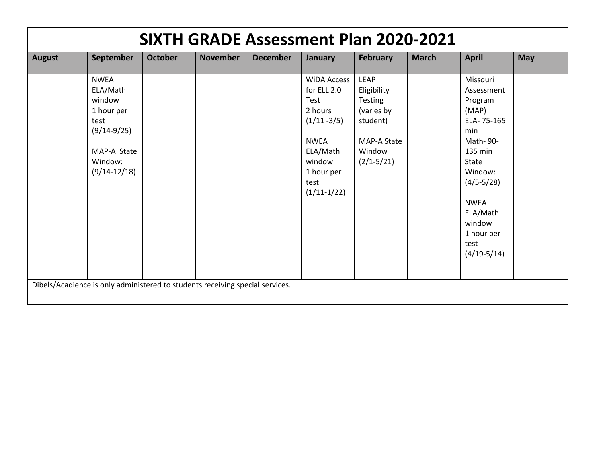| <b>SIXTH GRADE Assessment Plan 2020-2021</b><br>September<br><b>October</b><br><b>November</b><br><b>December</b><br><b>April</b><br><b>February</b><br><b>March</b><br><b>May</b><br><b>August</b><br>January |                                                                               |  |  |  |                    |                    |  |               |  |  |  |  |
|----------------------------------------------------------------------------------------------------------------------------------------------------------------------------------------------------------------|-------------------------------------------------------------------------------|--|--|--|--------------------|--------------------|--|---------------|--|--|--|--|
|                                                                                                                                                                                                                |                                                                               |  |  |  |                    |                    |  |               |  |  |  |  |
|                                                                                                                                                                                                                | <b>NWEA</b>                                                                   |  |  |  | <b>WIDA Access</b> | <b>LEAP</b>        |  | Missouri      |  |  |  |  |
|                                                                                                                                                                                                                | ELA/Math                                                                      |  |  |  | for ELL 2.0        | Eligibility        |  | Assessment    |  |  |  |  |
|                                                                                                                                                                                                                | window                                                                        |  |  |  | Test               | Testing            |  | Program       |  |  |  |  |
|                                                                                                                                                                                                                | 1 hour per                                                                    |  |  |  | 2 hours            | (varies by         |  | (MAP)         |  |  |  |  |
|                                                                                                                                                                                                                | test                                                                          |  |  |  | $(1/11 - 3/5)$     | student)           |  | ELA-75-165    |  |  |  |  |
|                                                                                                                                                                                                                | $(9/14-9/25)$                                                                 |  |  |  |                    |                    |  | min           |  |  |  |  |
|                                                                                                                                                                                                                |                                                                               |  |  |  | <b>NWEA</b>        | <b>MAP-A State</b> |  | Math-90-      |  |  |  |  |
|                                                                                                                                                                                                                | MAP-A State                                                                   |  |  |  | ELA/Math           | Window             |  | 135 min       |  |  |  |  |
|                                                                                                                                                                                                                | Window:                                                                       |  |  |  | window             | $(2/1 - 5/21)$     |  | <b>State</b>  |  |  |  |  |
|                                                                                                                                                                                                                | $(9/14-12/18)$                                                                |  |  |  | 1 hour per         |                    |  | Window:       |  |  |  |  |
|                                                                                                                                                                                                                |                                                                               |  |  |  | test               |                    |  | $(4/5-5/28)$  |  |  |  |  |
|                                                                                                                                                                                                                |                                                                               |  |  |  | $(1/11-1/22)$      |                    |  |               |  |  |  |  |
|                                                                                                                                                                                                                |                                                                               |  |  |  |                    |                    |  | <b>NWEA</b>   |  |  |  |  |
|                                                                                                                                                                                                                |                                                                               |  |  |  |                    |                    |  | ELA/Math      |  |  |  |  |
|                                                                                                                                                                                                                |                                                                               |  |  |  |                    |                    |  | window        |  |  |  |  |
|                                                                                                                                                                                                                |                                                                               |  |  |  |                    |                    |  | 1 hour per    |  |  |  |  |
|                                                                                                                                                                                                                |                                                                               |  |  |  |                    |                    |  | test          |  |  |  |  |
|                                                                                                                                                                                                                |                                                                               |  |  |  |                    |                    |  | $(4/19-5/14)$ |  |  |  |  |
|                                                                                                                                                                                                                |                                                                               |  |  |  |                    |                    |  |               |  |  |  |  |
|                                                                                                                                                                                                                |                                                                               |  |  |  |                    |                    |  |               |  |  |  |  |
|                                                                                                                                                                                                                | Dibels/Acadience is only administered to students receiving special services. |  |  |  |                    |                    |  |               |  |  |  |  |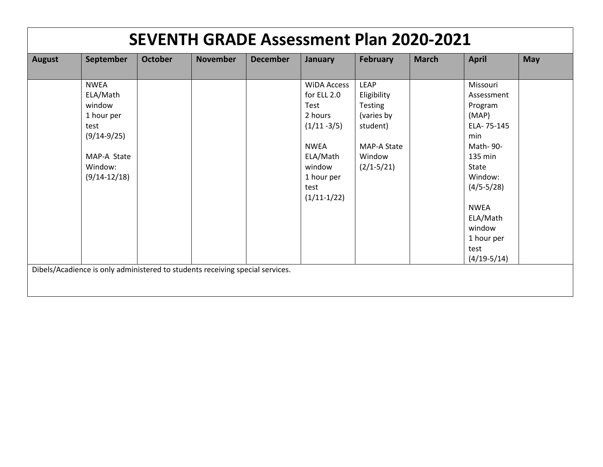| <b>August</b> | <b>September</b> | <b>October</b> | <b>November</b> | <b>December</b> | <b>January</b>        | <b>February</b> | <b>March</b> | <b>April</b>  | <b>May</b> |
|---------------|------------------|----------------|-----------------|-----------------|-----------------------|-----------------|--------------|---------------|------------|
|               | <b>NWEA</b>      |                |                 |                 | <b>WIDA Access</b>    | <b>LEAP</b>     |              | Missouri      |            |
|               | ELA/Math         |                |                 |                 | for ELL 2.0           | Eligibility     |              | Assessment    |            |
|               | window           |                |                 |                 | <b>Test</b>           | Testing         |              | Program       |            |
|               | 1 hour per       |                |                 |                 | 2 hours               | (varies by      |              | (MAP)         |            |
|               | test             |                |                 |                 | $(1/11 - 3/5)$        | student)        |              | ELA-75-145    |            |
|               | $(9/14-9/25)$    |                |                 |                 |                       |                 |              | min           |            |
|               |                  |                |                 |                 | <b>NWEA</b>           | MAP-A State     |              | Math-90-      |            |
|               | MAP-A State      |                |                 |                 | ELA/Math              | Window          |              | 135 min       |            |
|               | Window:          |                |                 |                 | window                | $(2/1 - 5/21)$  |              | State         |            |
|               | $(9/14-12/18)$   |                |                 |                 | 1 hour per            |                 |              | Window:       |            |
|               |                  |                |                 |                 | test<br>$(1/11-1/22)$ |                 |              | $(4/5-5/28)$  |            |
|               |                  |                |                 |                 |                       |                 |              | <b>NWEA</b>   |            |
|               |                  |                |                 |                 |                       |                 |              | ELA/Math      |            |
|               |                  |                |                 |                 |                       |                 |              | window        |            |
|               |                  |                |                 |                 |                       |                 |              | 1 hour per    |            |
|               |                  |                |                 |                 |                       |                 |              | test          |            |
|               |                  |                |                 |                 |                       |                 |              | $(4/19-5/14)$ |            |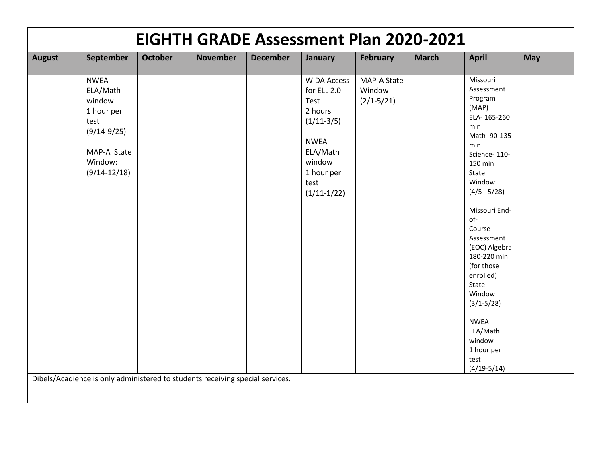|               | <b>EIGHTH GRADE Assessment Plan 2020-2021</b>                                                                        |                |                 |                 |                                                                                                                                                  |                                                |              |                                                                                                                                                                                                                                                                                                                                                                                      |            |  |  |  |
|---------------|----------------------------------------------------------------------------------------------------------------------|----------------|-----------------|-----------------|--------------------------------------------------------------------------------------------------------------------------------------------------|------------------------------------------------|--------------|--------------------------------------------------------------------------------------------------------------------------------------------------------------------------------------------------------------------------------------------------------------------------------------------------------------------------------------------------------------------------------------|------------|--|--|--|
| <b>August</b> | September                                                                                                            | <b>October</b> | <b>November</b> | <b>December</b> | January                                                                                                                                          | <b>February</b>                                | <b>March</b> | <b>April</b>                                                                                                                                                                                                                                                                                                                                                                         | <b>May</b> |  |  |  |
|               | <b>NWEA</b><br>ELA/Math<br>window<br>1 hour per<br>test<br>$(9/14-9/25)$<br>MAP-A State<br>Window:<br>$(9/14-12/18)$ |                |                 |                 | <b>WIDA Access</b><br>for ELL 2.0<br>Test<br>2 hours<br>$(1/11-3/5)$<br><b>NWEA</b><br>ELA/Math<br>window<br>1 hour per<br>test<br>$(1/11-1/22)$ | <b>MAP-A State</b><br>Window<br>$(2/1 - 5/21)$ |              | Missouri<br>Assessment<br>Program<br>(MAP)<br>ELA-165-260<br>min<br>Math-90-135<br>min<br>Science-110-<br>150 min<br>State<br>Window:<br>$(4/5 - 5/28)$<br>Missouri End-<br>of-<br>Course<br>Assessment<br>(EOC) Algebra<br>180-220 min<br>(for those<br>enrolled)<br>State<br>Window:<br>$(3/1 - 5/28)$<br><b>NWEA</b><br>ELA/Math<br>window<br>1 hour per<br>test<br>$(4/19-5/14)$ |            |  |  |  |
|               | Dibels/Acadience is only administered to students receiving special services.                                        |                |                 |                 |                                                                                                                                                  |                                                |              |                                                                                                                                                                                                                                                                                                                                                                                      |            |  |  |  |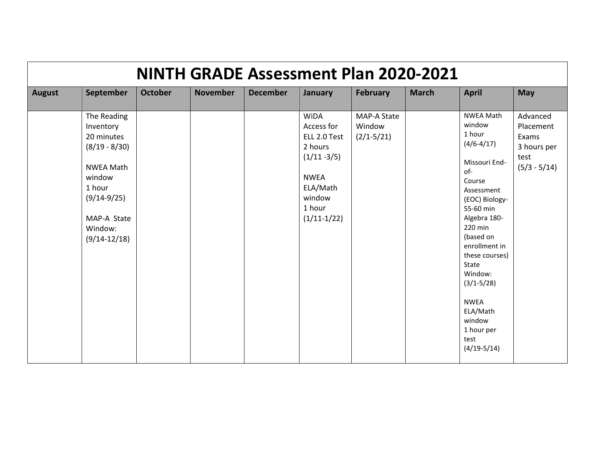|               | <b>NINTH GRADE Assessment Plan 2020-2021</b>                                                                                                                   |                |                 |                 |                                                                                                                                 |                                                |              |                                                                                                                                                                                                                                                                                                                                    |                                                                         |  |  |  |
|---------------|----------------------------------------------------------------------------------------------------------------------------------------------------------------|----------------|-----------------|-----------------|---------------------------------------------------------------------------------------------------------------------------------|------------------------------------------------|--------------|------------------------------------------------------------------------------------------------------------------------------------------------------------------------------------------------------------------------------------------------------------------------------------------------------------------------------------|-------------------------------------------------------------------------|--|--|--|
| <b>August</b> | September                                                                                                                                                      | <b>October</b> | <b>November</b> | <b>December</b> | January                                                                                                                         | <b>February</b>                                | <b>March</b> | <b>April</b>                                                                                                                                                                                                                                                                                                                       | <b>May</b>                                                              |  |  |  |
|               | The Reading<br>Inventory<br>20 minutes<br>$(8/19 - 8/30)$<br><b>NWEA Math</b><br>window<br>1 hour<br>$(9/14-9/25)$<br>MAP-A State<br>Window:<br>$(9/14-12/18)$ |                |                 |                 | WiDA<br>Access for<br>ELL 2.0 Test<br>2 hours<br>$(1/11 - 3/5)$<br><b>NWEA</b><br>ELA/Math<br>window<br>1 hour<br>$(1/11-1/22)$ | <b>MAP-A State</b><br>Window<br>$(2/1 - 5/21)$ |              | <b>NWEA Math</b><br>window<br>1 hour<br>$(4/6 - 4/17)$<br>Missouri End-<br>of-<br>Course<br>Assessment<br>(EOC) Biology-<br>55-60 min<br>Algebra 180-<br>220 min<br>(based on<br>enrollment in<br>these courses)<br>State<br>Window:<br>$(3/1 - 5/28)$<br><b>NWEA</b><br>ELA/Math<br>window<br>1 hour per<br>test<br>$(4/19-5/14)$ | Advanced<br>Placement<br>Exams<br>3 hours per<br>test<br>$(5/3 - 5/14)$ |  |  |  |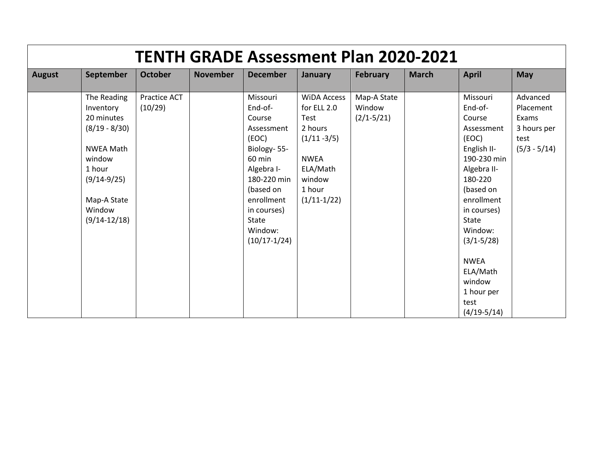| <b>TENTH GRADE Assessment Plan 2020-2021</b> |                  |                |                 |                  |                    |                 |              |                |                |  |  |
|----------------------------------------------|------------------|----------------|-----------------|------------------|--------------------|-----------------|--------------|----------------|----------------|--|--|
| <b>August</b>                                | September        | <b>October</b> | <b>November</b> | <b>December</b>  | <b>January</b>     | <b>February</b> | <b>March</b> | <b>April</b>   | <b>May</b>     |  |  |
|                                              |                  |                |                 |                  |                    |                 |              |                |                |  |  |
|                                              | The Reading      | Practice ACT   |                 | Missouri         | <b>WIDA Access</b> | Map-A State     |              | Missouri       | Advanced       |  |  |
|                                              | Inventory        | (10/29)        |                 | End-of-          | for ELL 2.0        | Window          |              | End-of-        | Placement      |  |  |
|                                              | 20 minutes       |                |                 | Course           | Test               | $(2/1 - 5/21)$  |              | Course         | Exams          |  |  |
|                                              | $(8/19 - 8/30)$  |                |                 | Assessment       | 2 hours            |                 |              | Assessment     | 3 hours per    |  |  |
|                                              |                  |                |                 | (EOC)            | $(1/11 - 3/5)$     |                 |              | (EOC)          | test           |  |  |
|                                              | <b>NWEA Math</b> |                |                 | Biology-55-      |                    |                 |              | English II-    | $(5/3 - 5/14)$ |  |  |
|                                              | window           |                |                 | 60 min           | <b>NWEA</b>        |                 |              | 190-230 min    |                |  |  |
|                                              | 1 hour           |                |                 | Algebra I-       | ELA/Math           |                 |              | Algebra II-    |                |  |  |
|                                              | $(9/14-9/25)$    |                |                 | 180-220 min      | window             |                 |              | 180-220        |                |  |  |
|                                              |                  |                |                 | (based on        | 1 hour             |                 |              | (based on      |                |  |  |
|                                              | Map-A State      |                |                 | enrollment       | $(1/11-1/22)$      |                 |              | enrollment     |                |  |  |
|                                              | Window           |                |                 | in courses)      |                    |                 |              | in courses)    |                |  |  |
|                                              | $(9/14-12/18)$   |                |                 | <b>State</b>     |                    |                 |              | State          |                |  |  |
|                                              |                  |                |                 | Window:          |                    |                 |              | Window:        |                |  |  |
|                                              |                  |                |                 | $(10/17 - 1/24)$ |                    |                 |              | $(3/1 - 5/28)$ |                |  |  |
|                                              |                  |                |                 |                  |                    |                 |              |                |                |  |  |
|                                              |                  |                |                 |                  |                    |                 |              | <b>NWEA</b>    |                |  |  |
|                                              |                  |                |                 |                  |                    |                 |              | ELA/Math       |                |  |  |
|                                              |                  |                |                 |                  |                    |                 |              | window         |                |  |  |
|                                              |                  |                |                 |                  |                    |                 |              | 1 hour per     |                |  |  |
|                                              |                  |                |                 |                  |                    |                 |              | test           |                |  |  |
|                                              |                  |                |                 |                  |                    |                 |              | $(4/19-5/14)$  |                |  |  |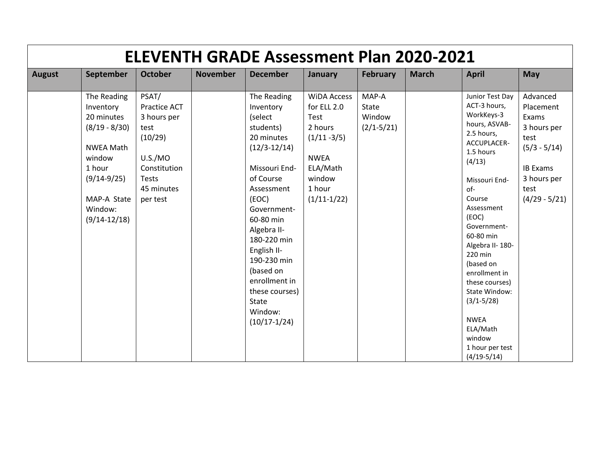| <b>ELEVENTH GRADE Assessment Plan 2020-2021</b> |                                                                                                                                                                |                                                                                                                       |                 |                                                                                                                                                                                                                                                                                                                     |                                                                                                                                        |                                            |              |                                                                                                                                                                                                                                                                                                                                                                                                   |                                                                                                                                      |  |  |
|-------------------------------------------------|----------------------------------------------------------------------------------------------------------------------------------------------------------------|-----------------------------------------------------------------------------------------------------------------------|-----------------|---------------------------------------------------------------------------------------------------------------------------------------------------------------------------------------------------------------------------------------------------------------------------------------------------------------------|----------------------------------------------------------------------------------------------------------------------------------------|--------------------------------------------|--------------|---------------------------------------------------------------------------------------------------------------------------------------------------------------------------------------------------------------------------------------------------------------------------------------------------------------------------------------------------------------------------------------------------|--------------------------------------------------------------------------------------------------------------------------------------|--|--|
| <b>August</b>                                   | September                                                                                                                                                      | <b>October</b>                                                                                                        | <b>November</b> | <b>December</b>                                                                                                                                                                                                                                                                                                     | January                                                                                                                                | <b>February</b>                            | <b>March</b> | <b>April</b>                                                                                                                                                                                                                                                                                                                                                                                      | <b>May</b>                                                                                                                           |  |  |
|                                                 | The Reading<br>Inventory<br>20 minutes<br>$(8/19 - 8/30)$<br><b>NWEA Math</b><br>window<br>1 hour<br>$(9/14-9/25)$<br>MAP-A State<br>Window:<br>$(9/14-12/18)$ | PSAT/<br>Practice ACT<br>3 hours per<br>test<br>(10/29)<br>U.S./MO<br>Constitution<br>Tests<br>45 minutes<br>per test |                 | The Reading<br>Inventory<br>(select<br>students)<br>20 minutes<br>$(12/3-12/14)$<br>Missouri End-<br>of Course<br>Assessment<br>(EOC)<br>Government-<br>60-80 min<br>Algebra II-<br>180-220 min<br>English II-<br>190-230 min<br>(based on<br>enrollment in<br>these courses)<br>State<br>Window:<br>$(10/17-1/24)$ | <b>WIDA Access</b><br>for ELL 2.0<br>Test<br>2 hours<br>$(1/11 - 3/5)$<br><b>NWEA</b><br>ELA/Math<br>window<br>1 hour<br>$(1/11-1/22)$ | MAP-A<br>State<br>Window<br>$(2/1 - 5/21)$ |              | Junior Test Day<br>ACT-3 hours,<br>WorkKeys-3<br>hours, ASVAB-<br>2.5 hours,<br>ACCUPLACER-<br>1.5 hours<br>(4/13)<br>Missouri End-<br>of-<br>Course<br>Assessment<br>(EOC)<br>Government-<br>60-80 min<br>Algebra II-180-<br>220 min<br>(based on<br>enrollment in<br>these courses)<br>State Window:<br>$(3/1 - 5/28)$<br><b>NWEA</b><br>ELA/Math<br>window<br>1 hour per test<br>$(4/19-5/14)$ | Advanced<br>Placement<br>Exams<br>3 hours per<br>test<br>$(5/3 - 5/14)$<br><b>IB Exams</b><br>3 hours per<br>test<br>$(4/29 - 5/21)$ |  |  |